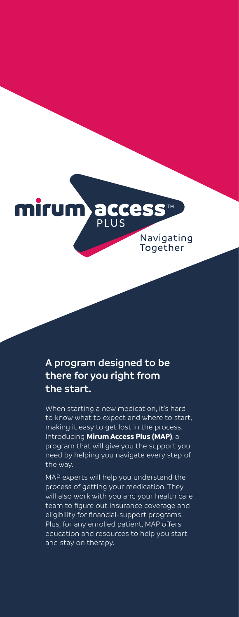

## **A program designed to be there for you right from the start.**

When starting a new medication, it's hard to know what to expect and where to start, making it easy to get lost in the process. Introducing **Mirum Access Plus (MAP)**, a program that will give you the support you need by helping you navigate every step of the way.

MAP experts will help you understand the process of getting your medication. They will also work with you and your health care team to figure out insurance coverage and eligibility for financial-support programs. Plus, for any enrolled patient, MAP offers education and resources to help you start and stay on therapy.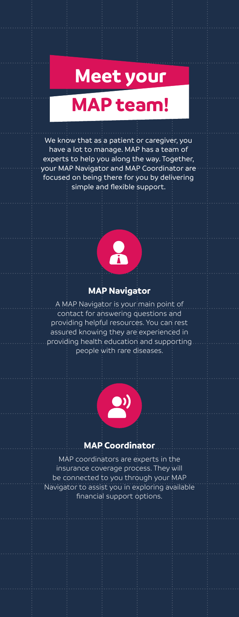# **Meet your**

## **MAP team!**

We know that as a patient or caregiver, you have a lot to manage. MAP has a team of experts to help you along the way. Together, your MAP Navigator and MAP Coordinator are focused on being there for you by delivering simple and flexible support.



#### **MAP Navigator**

A MAP Navigator is your main point of contact for answering questions and providing helpful resources. You can rest assured knowing they are experienced in providing health education and supporting people with rare diseases.



#### **MAP Coordinator**

MAP coordinators are experts in the insurance coverage process. They will be connected to you through your MAP Navigator to assist you in exploring available financial support options.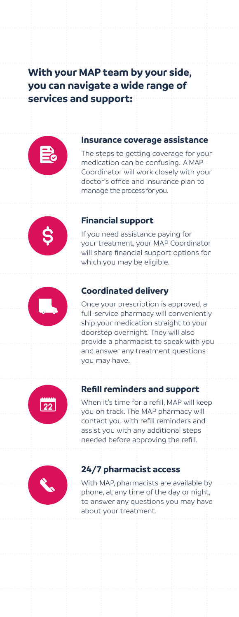## **With your MAP team by your side, you can navigate a wide range of services and support:**



#### **Insurance coverage assistance**

The steps to getting coverage for your medication can be confusing. A MAP Coordinator will work closely with your doctor's office and insurance plan to manage the process for you.



### **Financial support**

If you need assistance paying for your treatment, your MAP Coordinator will share financial support options for which you may be eligible.



#### **Coordinated delivery**

Once your prescription is approved, a full-service pharmacy will conveniently ship your medication straight to your doorstep overnight. They will also provide a pharmacist to speak with you and answer any treatment questions you may have.



### **Refill reminders and support**

When it's time for a refill, MAP will keep you on track. The MAP pharmacy will contact you with refill reminders and assist you with any additional steps needed before approving the refill.



#### **24/7 pharmacist access**

With MAP, pharmacists are available by phone, at any time of the day or night, to answer any questions you may have about your treatment.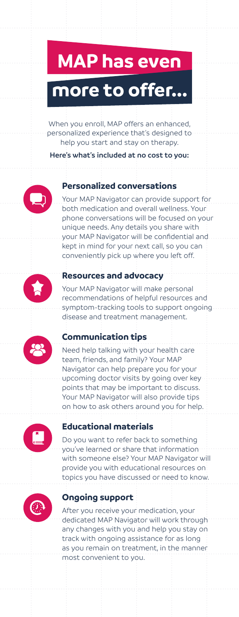# **MAP has even more to offer...**

When you enroll, MAP offers an enhanced, personalized experience that's designed to help you start and stay on therapy.

**Here's what's included at no cost to you:**

## **Personalized conversations**

Your MAP Navigator can provide support for both medication and overall wellness. Your phone conversations will be focused on your unique needs. Any details you share with your MAP Navigator will be confidential and kept in mind for your next call, so you can conveniently pick up where you left off.



## **Resources and advocacy**

Your MAP Navigator will make personal recommendations of helpful resources and symptom-tracking tools to support ongoing disease and treatment management.

## **Communication tips**

Need help talking with your health care team, friends, and family? Your MAP Navigator can help prepare you for your upcoming doctor visits by going over key points that may be important to discuss. Your MAP Navigator will also provide tips on how to ask others around you for help.



### **Educational materials**

Do you want to refer back to something you've learned or share that information with someone else? Your MAP Navigator will provide you with educational resources on topics you have discussed or need to know.



## **Ongoing support**

After you receive your medication, your dedicated MAP Navigator will work through any changes with you and help you stay on track with ongoing assistance for as long as you remain on treatment, in the manner most convenient to you.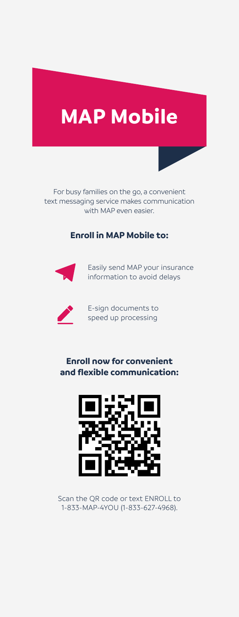## **MAP Mobile**

For busy families on the go, a convenient text messaging service makes communication with MAP even easier.

#### **Enroll in MAP Mobile to:**



Easily send MAP your insurance information to avoid delays



E-sign documents to speed up processing

## **Enroll now for convenient and flexible communication:**



Scan the QR code or text ENROLL to 1-833-MAP-4YOU (1-833-627-4968).